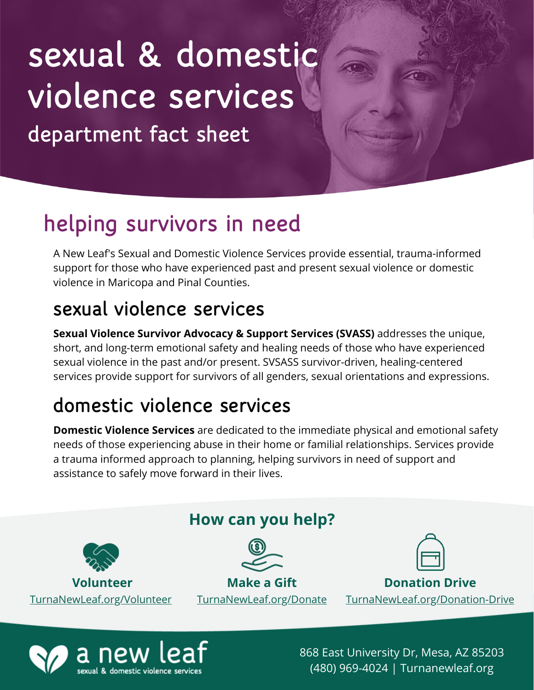# department fact sheet sexual & domestic violence services

## helping survivors in need

A New Leaf's Sexual and Domestic Violence Services provide essential, trauma-informed support for those who have experienced past and present sexual violence or domestic violence in Maricopa and Pinal Counties.

### sexual violence services

**Sexual Violence Survivor Advocacy & Support Services (SVASS)** addresses the unique, short, and long-term emotional safety and healing needs of those who have experienced sexual violence in the past and/or present. SVSASS survivor-driven, healing-centered services provide support for survivors of all genders, sexual orientations and expressions.

### domestic violence services

**Domestic Violence Services** are dedicated to the immediate physical and emotional safety needs of those experiencing abuse in their home or familial relationships. Services provide a trauma informed approach to planning, helping survivors in need of support and assistance to safely move forward in their lives.